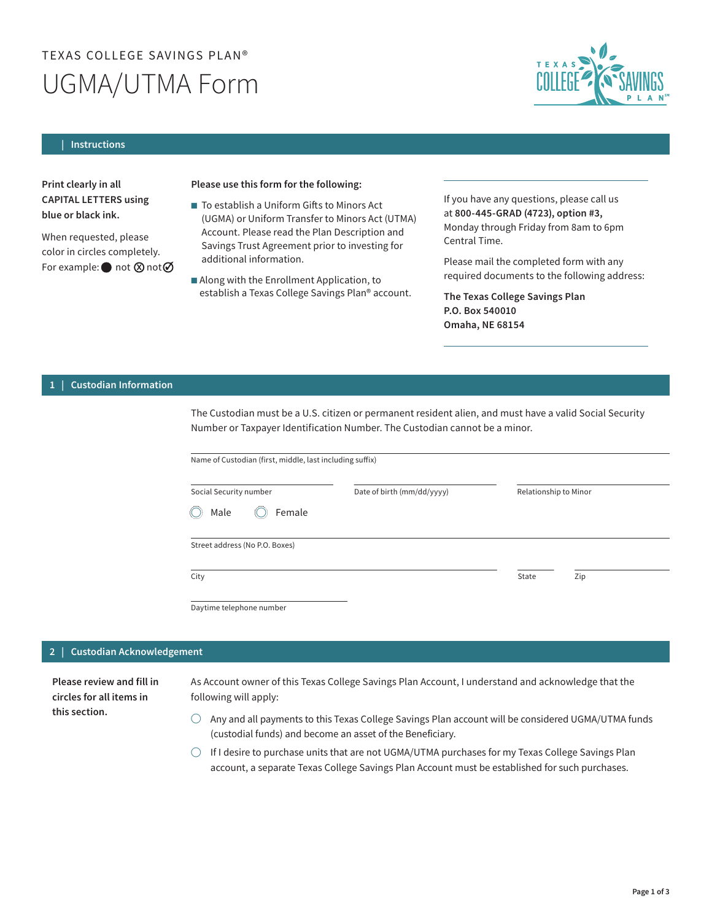# TEXAS COLLEGE SAVINGS PLAN® UGMA/UTMA Form



#### **| Instructions**

Print clearly in all CAPITAL LETTERS using blue or black ink.

When requested, please color in circles completely. For example:  $\bullet$  not  $\otimes$  not  $\oslash$ 

## Please use this form for the following:

- To establish a Uniform Gifts to Minors Act (UGMA) or Uniform Transfer to Minors Act (UTMA) Account. Please read the Plan Description and Savings Trust Agreement prior to investing for additional information.
- Along with the Enrollment Application, to establish a Texas College Savings Plan® account.

If you have any questions, please call us at 800-445-GRAD (4723), option #3, Monday through Friday from 8am to 6pm Central Time.

Please mail the completed form with any required documents to the following address:

The Texas College Savings Plan P.O. Box 540010 Omaha, NE 68154

### **| 1 Custodian Information**

The Custodian must be a U.S. citizen or permanent resident alien, and must have a valid Social Security Number or Taxpayer Identification Number. The Custodian cannot be a minor.

Name of Custodian (first, middle, last including suffix)

| Social Security number               | Date of birth (mm/dd/yyyy) | Relationship to Minor |
|--------------------------------------|----------------------------|-----------------------|
| $\circledcirc$ Female<br>Male<br>(() |                            |                       |
|                                      |                            |                       |
| Street address (No P.O. Boxes)       |                            |                       |
|                                      |                            |                       |

Daytime telephone number

#### $\overline{2}$  | **2 Custodian Acknowledgement**

Please review and fill in circles for all items in this section.

As Account owner of this Texas College Savings Plan Account, I understand and acknowledge that the following will apply:

- $\bigcirc$  Any and all payments to this Texas College Savings Plan account will be considered UGMA/UTMA funds (custodial funds) and become an asset of the Beneficiary.
- $\bigcirc$  If I desire to purchase units that are not UGMA/UTMA purchases for my Texas College Savings Plan account, a separate Texas College Savings Plan Account must be established for such purchases.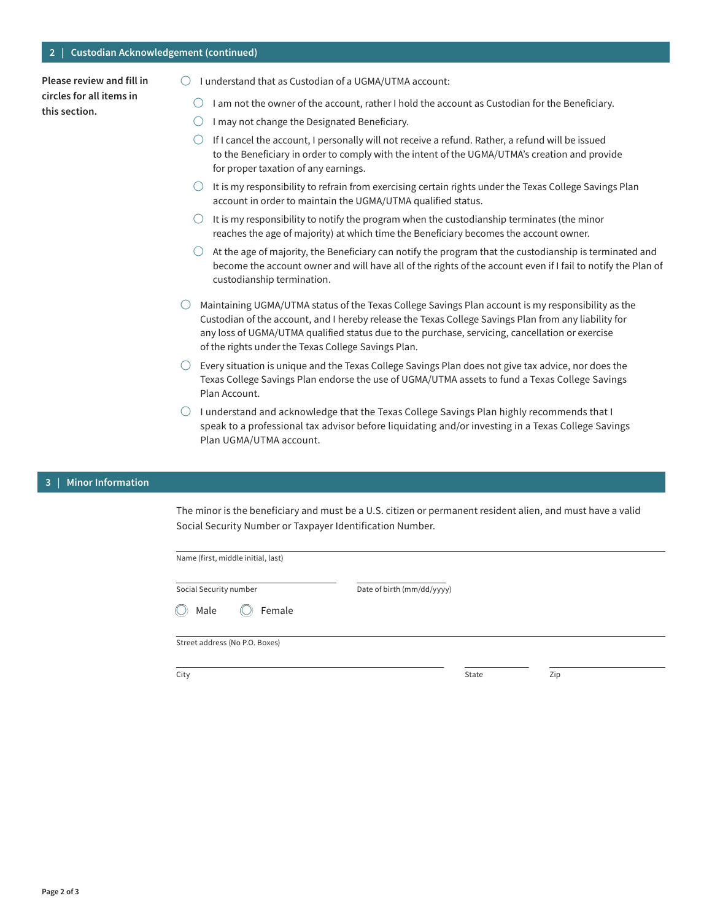## **2 | Custodian Acknowledgement (continued)**

Please review and fill in circles for all items in this section.

- $\bigcirc$  I understand that as Custodian of a UGMA/UTMA account:
	- $\bigcirc$  I am not the owner of the account, rather I hold the account as Custodian for the Beneficiary.
	- $\bigcirc$  I may not change the Designated Beneficiary.
	- $\bigcirc$  If I cancel the account, I personally will not receive a refund. Rather, a refund will be issued to the Beneficiary in order to comply with the intent of the UGMA/UTMA's creation and provide for proper taxation of any earnings.
	- $\bigcirc$  It is my responsibility to refrain from exercising certain rights under the Texas College Savings Plan account in order to maintain the UGMA/UTMA qualified status.
	- $\bigcirc$  It is my responsibility to notify the program when the custodianship terminates (the minor reaches the age of majority) at which time the Beneficiary becomes the account owner.
	- $\bigcirc$  At the age of majority, the Beneficiary can notify the program that the custodianship is terminated and become the account owner and will have all of the rights of the account even if I fail to notify the Plan of custodianship termination.
- $\bigcirc$  Maintaining UGMA/UTMA status of the Texas College Savings Plan account is my responsibility as the Custodian of the account, and I hereby release the Texas College Savings Plan from any liability for any loss of UGMA/UTMA qualified status due to the purchase, servicing, cancellation or exercise of the rights under the Texas College Savings Plan.
- $\bigcirc$  Every situation is unique and the Texas College Savings Plan does not give tax advice, nor does the Texas College Savings Plan endorse the use of UGMA/UTMA assets to fund a Texas College Savings Plan Account.
- $\bigcirc$  I understand and acknowledge that the Texas College Savings Plan highly recommends that I speak to a professional tax advisor before liquidating and/or investing in a Texas College Savings Plan UGMA/UTMA account.

#### **| 3 Minor Information**

The minor is the beneficiary and must be a U.S. citizen or permanent resident alien, and must have a valid Social Security Number or Taxpayer Identification Number.

| Name (first, middle initial, last)  |                            |             |     |  |
|-------------------------------------|----------------------------|-------------|-----|--|
| Social Security number              | Date of birth (mm/dd/yyyy) |             |     |  |
| $\bigcirc$<br>Male<br>Female<br>(() |                            |             |     |  |
| Street address (No P.O. Boxes)      |                            |             |     |  |
| $C$ ity                             |                            | $C + 2 + 2$ | 7in |  |

City

State Zip